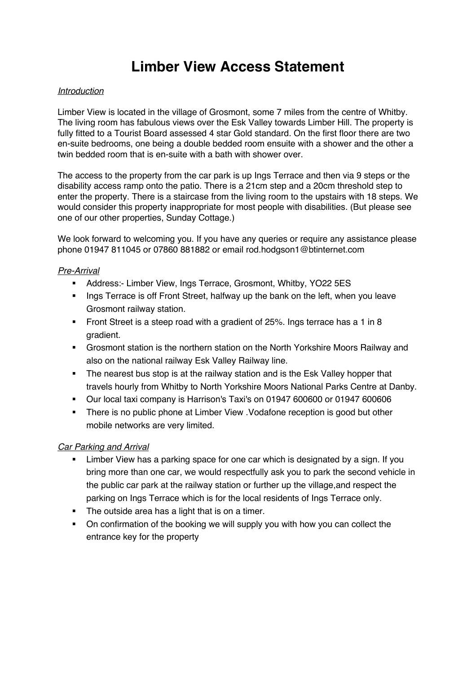# **Limber View Access Statement**

#### *Introduction*

Limber View is located in the village of Grosmont, some 7 miles from the centre of Whitby. The living room has fabulous views over the Esk Valley towards Limber Hill. The property is fully fitted to a Tourist Board assessed 4 star Gold standard. On the first floor there are two en-suite bedrooms, one being a double bedded room ensuite with a shower and the other a twin bedded room that is en-suite with a bath with shower over.

The access to the property from the car park is up Ings Terrace and then via 9 steps or the disability access ramp onto the patio. There is a 21cm step and a 20cm threshold step to enter the property. There is a staircase from the living room to the upstairs with 18 steps. We would consider this property inappropriate for most people with disabilities. (But please see one of our other properties, Sunday Cottage.)

We look forward to welcoming you. If you have any queries or require any assistance please phone 01947 811045 or 07860 881882 or email rod.hodgson1@btinternet.com

## *Pre-Arrival*

- § Address:- Limber View, Ings Terrace, Grosmont, Whitby, YO22 5ES
- Ings Terrace is off Front Street, halfway up the bank on the left, when you leave Grosmont railway station.
- Front Street is a steep road with a gradient of 25%. Ings terrace has a 1 in 8 gradient.
- Grosmont station is the northern station on the North Yorkshire Moors Railway and also on the national railway Esk Valley Railway line.
- The nearest bus stop is at the railway station and is the Esk Valley hopper that travels hourly from Whitby to North Yorkshire Moors National Parks Centre at Danby.
- § Our local taxi company is Harrison's Taxi's on 01947 600600 or 01947 600606
- There is no public phone at Limber View . Vodafone reception is good but other mobile networks are very limited.

#### *Car Parking and Arrival*

- Limber View has a parking space for one car which is designated by a sign. If you bring more than one car, we would respectfully ask you to park the second vehicle in the public car park at the railway station or further up the village,and respect the parking on Ings Terrace which is for the local residents of Ings Terrace only.
- **•** The outside area has a light that is on a timer.
- On confirmation of the booking we will supply you with how you can collect the entrance key for the property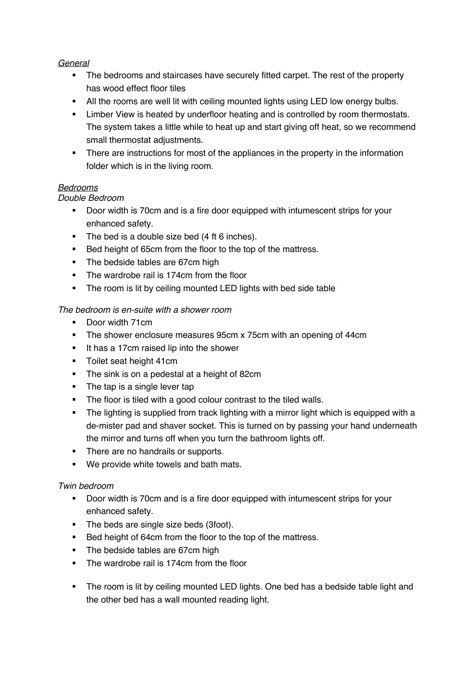## *General*

- The bedrooms and staircases have securely fitted carpet. The rest of the property has wood effect floor tiles
- All the rooms are well lit with ceiling mounted lights using LED low energy bulbs.
- **EXTER** Limber View is heated by underfloor heating and is controlled by room thermostats. The system takes a little while to heat up and start giving off heat, so we recommend small thermostat adjustments.
- There are instructions for most of the appliances in the property in the information folder which is in the living room.

## *Bedrooms*

## *Double Bedroom*

- Door width is 70cm and is a fire door equipped with intumescent strips for your enhanced safety.
- The bed is a double size bed (4 ft 6 inches).
- Bed height of 65cm from the floor to the top of the mattress.
- The bedside tables are 67cm high
- The wardrobe rail is 174cm from the floor
- The room is lit by ceiling mounted LED lights with bed side table

## *The bedroom is en-suite with a shower room*

- Door width 71cm
- The shower enclosure measures 95cm x 75cm with an opening of 44cm
- It has a 17cm raised lip into the shower
- **•** Toilet seat height 41cm
- The sink is on a pedestal at a height of 82cm
- The tap is a single lever tap
- The floor is tiled with a good colour contrast to the tiled walls.
- The lighting is supplied from track lighting with a mirror light which is equipped with a de-mister pad and shaver socket. This is turned on by passing your hand underneath the mirror and turns off when you turn the bathroom lights off.
- There are no handrails or supports.
- We provide white towels and bath mats.

## *Twin bedroom*

- § Door width is 70cm and is a fire door equipped with intumescent strips for your enhanced safety.
- The beds are single size beds (3foot).
- Bed height of 64cm from the floor to the top of the mattress.
- The bedside tables are 67cm high
- The wardrobe rail is 174cm from the floor
- The room is lit by ceiling mounted LED lights. One bed has a bedside table light and the other bed has a wall mounted reading light.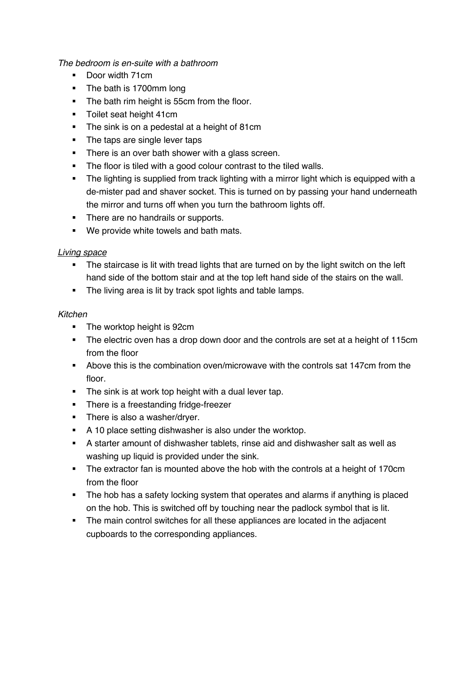*The bedroom is en-suite with a bathroom*

- Door width 71cm
- The bath is 1700mm long
- The bath rim height is 55cm from the floor.
- **•** Toilet seat height 41cm
- The sink is on a pedestal at a height of 81cm
- The taps are single lever taps
- There is an over bath shower with a glass screen.
- The floor is tiled with a good colour contrast to the tiled walls.
- The lighting is supplied from track lighting with a mirror light which is equipped with a de-mister pad and shaver socket. This is turned on by passing your hand underneath the mirror and turns off when you turn the bathroom lights off.
- There are no handrails or supports.
- We provide white towels and bath mats.

#### *Living space*

- The staircase is lit with tread lights that are turned on by the light switch on the left hand side of the bottom stair and at the top left hand side of the stairs on the wall.
- The living area is lit by track spot lights and table lamps.

#### *Kitchen*

- The worktop height is 92cm
- The electric oven has a drop down door and the controls are set at a height of 115cm from the floor
- § Above this is the combination oven/microwave with the controls sat 147cm from the floor.
- The sink is at work top height with a dual lever tap.
- There is a freestanding fridge-freezer
- **•** There is also a washer/dryer.
- **•** A 10 place setting dishwasher is also under the worktop.
- § A starter amount of dishwasher tablets, rinse aid and dishwasher salt as well as washing up liquid is provided under the sink.
- The extractor fan is mounted above the hob with the controls at a height of 170cm from the floor
- The hob has a safety locking system that operates and alarms if anything is placed on the hob. This is switched off by touching near the padlock symbol that is lit.
- The main control switches for all these appliances are located in the adjacent cupboards to the corresponding appliances.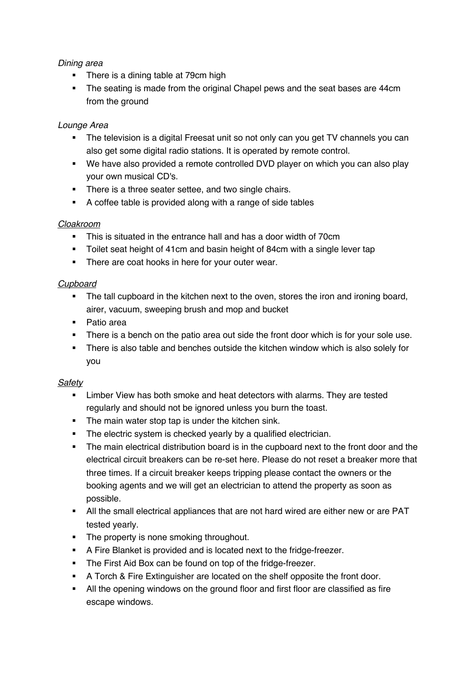## *Dining area*

- There is a dining table at 79cm high
- The seating is made from the original Chapel pews and the seat bases are 44cm from the ground

# *Lounge Area*

- The television is a digital Freesat unit so not only can you get TV channels you can also get some digital radio stations. It is operated by remote control.
- We have also provided a remote controlled DVD player on which you can also play your own musical CD's.
- There is a three seater settee, and two single chairs.
- A coffee table is provided along with a range of side tables

## *Cloakroom*

- § This is situated in the entrance hall and has a door width of 70cm
- Toilet seat height of 41cm and basin height of 84cm with a single lever tap
- There are coat hooks in here for your outer wear.

## *Cupboard*

- The tall cupboard in the kitchen next to the oven, stores the iron and ironing board, airer, vacuum, sweeping brush and mop and bucket
- Patio area
- There is a bench on the patio area out side the front door which is for your sole use.
- There is also table and benches outside the kitchen window which is also solely for you

## *Safety*

- Limber View has both smoke and heat detectors with alarms. They are tested regularly and should not be ignored unless you burn the toast.
- The main water stop tap is under the kitchen sink.
- The electric system is checked yearly by a qualified electrician.
- The main electrical distribution board is in the cupboard next to the front door and the electrical circuit breakers can be re-set here. Please do not reset a breaker more that three times. If a circuit breaker keeps tripping please contact the owners or the booking agents and we will get an electrician to attend the property as soon as possible.
- **All the small electrical appliances that are not hard wired are either new or are PAT** tested yearly.
- The property is none smoking throughout.
- § A Fire Blanket is provided and is located next to the fridge-freezer.
- The First Aid Box can be found on top of the fridge-freezer.
- § A Torch & Fire Extinguisher are located on the shelf opposite the front door.
- All the opening windows on the ground floor and first floor are classified as fire escape windows.